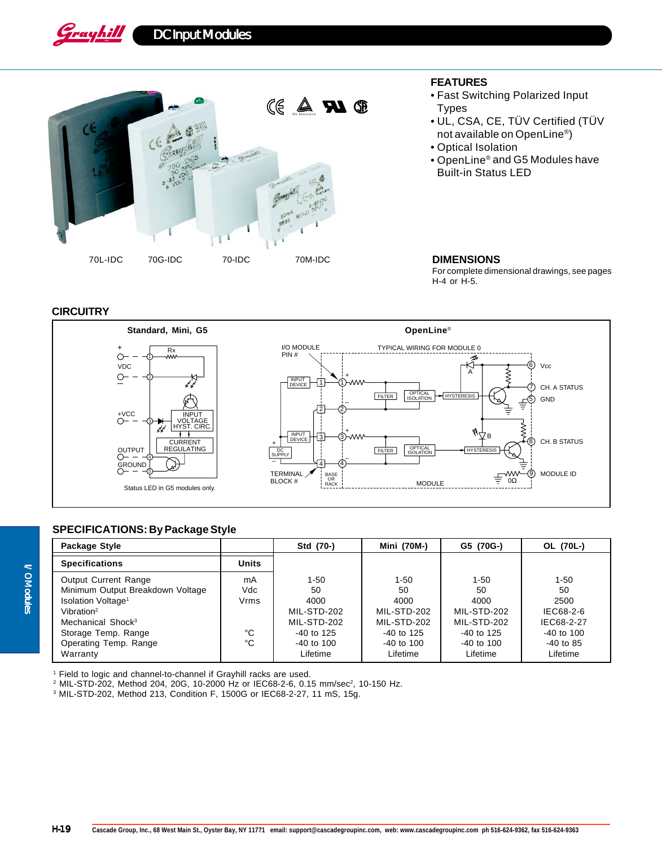



# **FEATURES**

- Fast Switching Polarized Input Types
- UL, CSA, CE, TÜV Certified (TÜV not available on OpenLine®)
- Optical Isolation
- OpenLine® and G5 Modules have Built-in Status LED

For complete dimensional drawings, see pages H-4 or H-5.

# **CIRCUITRY**



## **SPECIFICATIONS: By Package Style**

| Package Style                    |              | Std (70-)      | Mini (70M-)  | G5 (70G-)      | OL (70L-)      |
|----------------------------------|--------------|----------------|--------------|----------------|----------------|
| <b>Specifications</b>            | <b>Units</b> |                |              |                |                |
| <b>Output Current Range</b>      | mA           | $1 - 50$       | $1 - 50$     | $1 - 50$       | $1 - 50$       |
| Minimum Output Breakdown Voltage | Vdc          | 50             | 50           | 50             | 50             |
| Isolation Voltage <sup>1</sup>   | Vrms         | 4000           | 4000         | 4000           | 2500           |
| Vibration $2$                    |              | MIL-STD-202    | MIL-STD-202  | MIL-STD-202    | IEC68-2-6      |
| Mechanical Shock <sup>3</sup>    |              | MIL-STD-202    | MIL-STD-202  | MIL-STD-202    | IEC68-2-27     |
| Storage Temp. Range              | °C           | $-40$ to 125   | $-40$ to 125 | $-40$ to 125   | $-40$ to $100$ |
| Operating Temp. Range            | °C           | $-40$ to $100$ | -40 to 100   | $-40$ to $100$ | $-40$ to 85    |
| Warranty                         |              | Lifetime       | Lifetime     | Lifetime       | Lifetime       |

1 Field to logic and channel-to-channel if Grayhill racks are used.

<sup>2</sup> MIL-STD-202, Method 204, 20G, 10-2000 Hz or IEC68-2-6, 0.15 mm/sec<sup>2</sup>, 10-150 Hz.

3 MIL-STD-202, Method 213, Condition F, 1500G or IEC68-2-27, 11 mS, 15g.